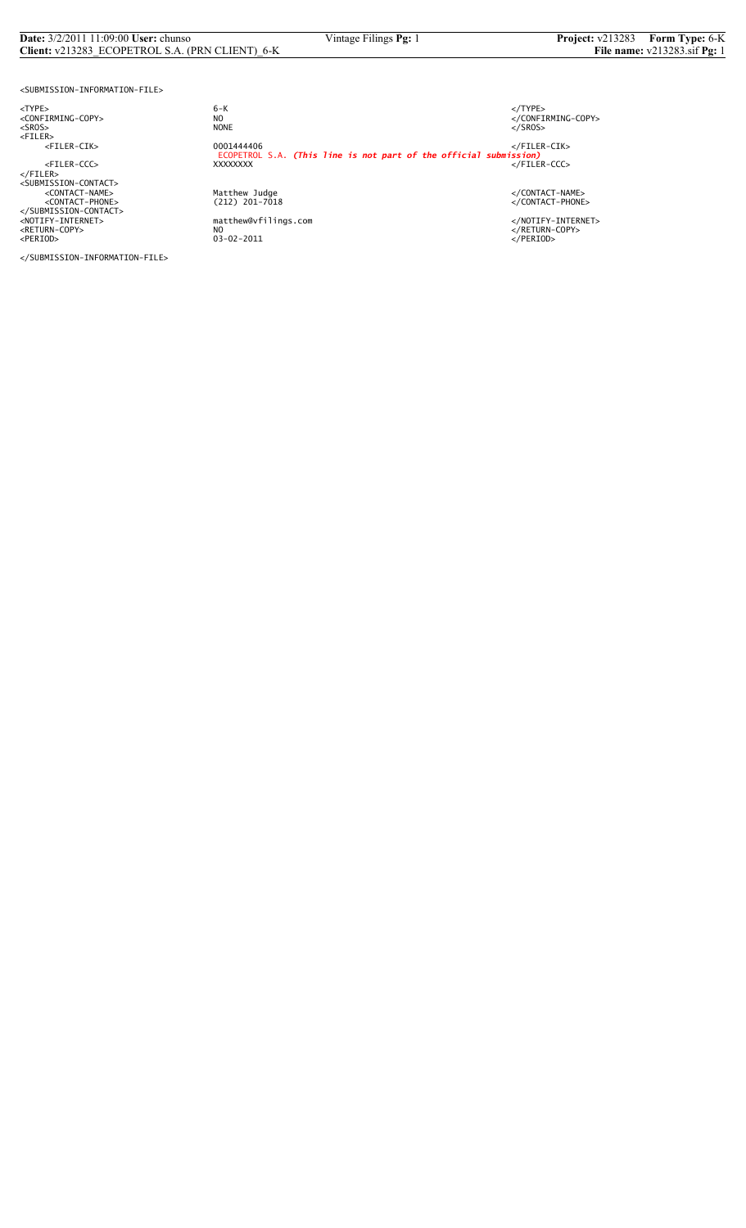## **Date:**  $3/2/2011$  11:09:00 **User:** chunso **Vintage Filings <b>Pg:** 1 **Project:** v213283 **Form Type:** 6-K **Client:** v213283 **ECOPETROL S.A.** (PRN CLIENT) 6-K **File name:** v213283.sif **Pg:** 1 **Client:** v213283\_ECOPETROL S.A. (PRN CLIENT)\_6-K

<SUBMISSION-INFORMATION-FILE>

<TYPE> 6-K </TYPE>

</SUBMISSION-INFORMATION-FILE>

 $6 - K$ NO<br>
NO<br>
NONE<br>
NONE<br>
NONE<br>
S/SROS> <SROS> NONE </SROS> <FILER> <FILER-CIK> 0001444406 </FILER-CIK> ECOPETROL S.A. *(This line is not part of the official submission)* <FILER-CCC> XXXXXXXX </FILER-CCC> </FILER> <SUBMISSION-CONTACT> <CONTACT-NAME> Matthew Judge </CONTACT-NAME> <CONTACT-PHONE> (212) 201-7018 </CONTACT-PHONE> </SUBMISSION-CONTACT> <NOTIFY-INTERNET> matthew@vfilings.com </NOTIFY-INTERNET> <RETURN-COPY> NO </RETURN-COPY> <PERIOD> 03-02-2011 </PERIOD>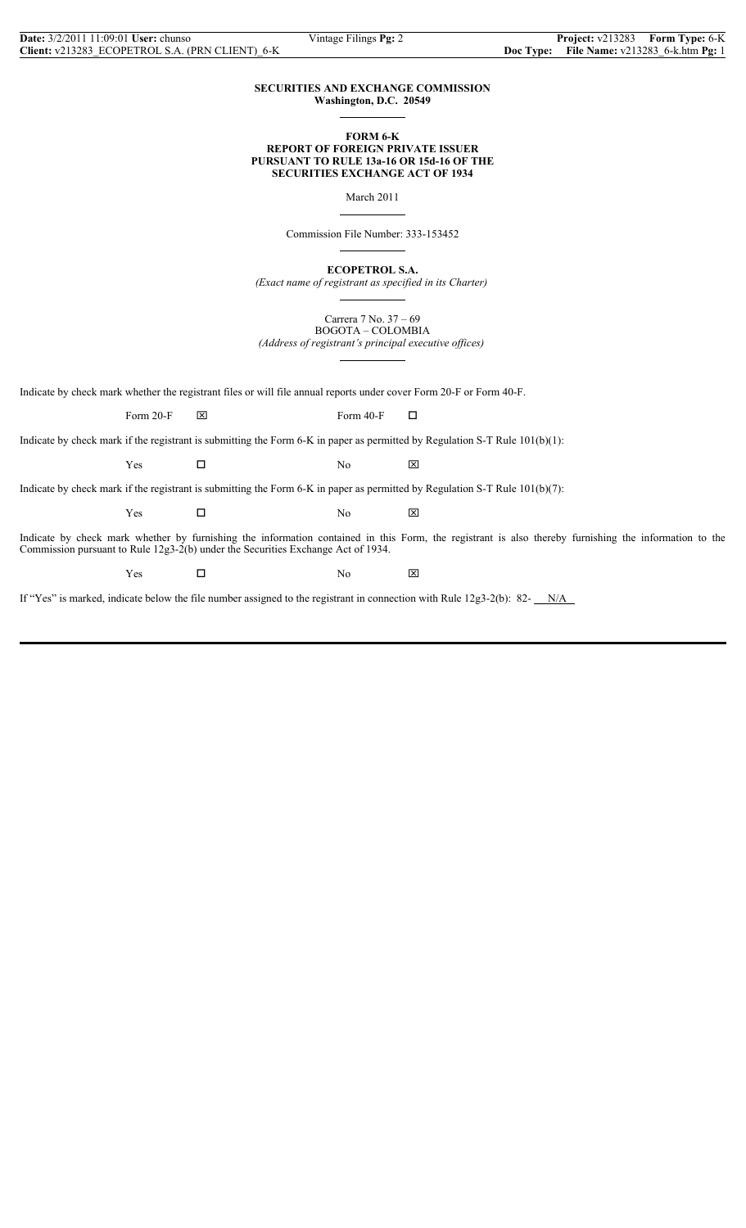### **SECURITIES AND EXCHANGE COMMISSION Washington, D.C. 20549**

 $\overline{a}$ 

 $\overline{a}$ 

 $\overline{a}$ 

 $\overline{a}$ 

## **FORM 6-K REPORT OF FOREIGN PRIVATE ISSUER PURSUANT TO RULE 13a-16 OR 15d-16 OF THE SECURITIES EXCHANGE ACT OF 1934**

March 2011

Commission File Number: 333-153452

**ECOPETROL S.A.**

*(Exact name of registrant as specified in its Charter)*  $\overline{a}$ 

> Carrera 7 No. 37 – 69 BOGOTA – COLOMBIA

*(Address of registrant's principal executive offices)*

Indicate by check mark whether the registrant files or will file annual reports under cover Form 20-F or Form 40-F.

Form 20-F  $\boxtimes$  Form 40-F  $\Box$ 

Indicate by check mark if the registrant is submitting the Form 6-K in paper as permitted by Regulation S-T Rule 101(b)(1):

 $Yes$   $\square$  No  $\boxtimes$ 

Indicate by check mark if the registrant is submitting the Form 6-K in paper as permitted by Regulation S-T Rule 101(b)(7):

 $Yes$   $\square$  No  $\boxtimes$ 

Indicate by check mark whether by furnishing the information contained in this Form, the registrant is also thereby furnishing the information to the Commission pursuant to Rule 12g3-2(b) under the Securities Exchange Act of 1934.

Yes □ No ⊠

If "Yes" is marked, indicate below the file number assigned to the registrant in connection with Rule  $12g3-2(b)$ : 82-  $N/A$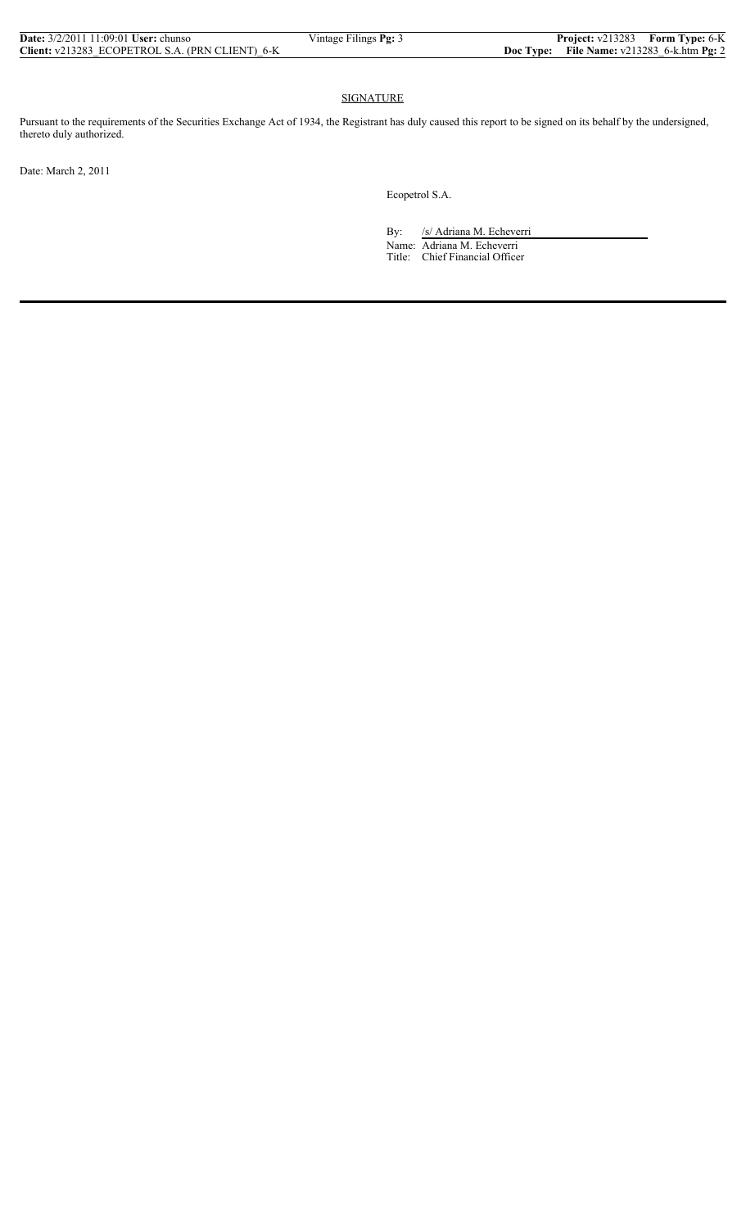| <b>Date:</b> $3/2/2011$ 11:09:01 <b>User:</b> chunso | Vintage Filings Pg: 3 | Project: v213283 Form Type: 6-K                     |  |
|------------------------------------------------------|-----------------------|-----------------------------------------------------|--|
| Client: v213283 ECOPETROL S.A. (PRN CLIENT) 6-K      |                       | <b>Doc Type:</b> File Name: $v213283$ 6-k.htm Pg: 2 |  |

## **SIGNATURE**

Pursuant to the requirements of the Securities Exchange Act of 1934, the Registrant has duly caused this report to be signed on its behalf by the undersigned, thereto duly authorized.

Date: March 2, 2011

Ecopetrol S.A.

By: /s/ Adriana M. Echeverri

 Name: Adriana M. Echeverri Title: Chief Financial Officer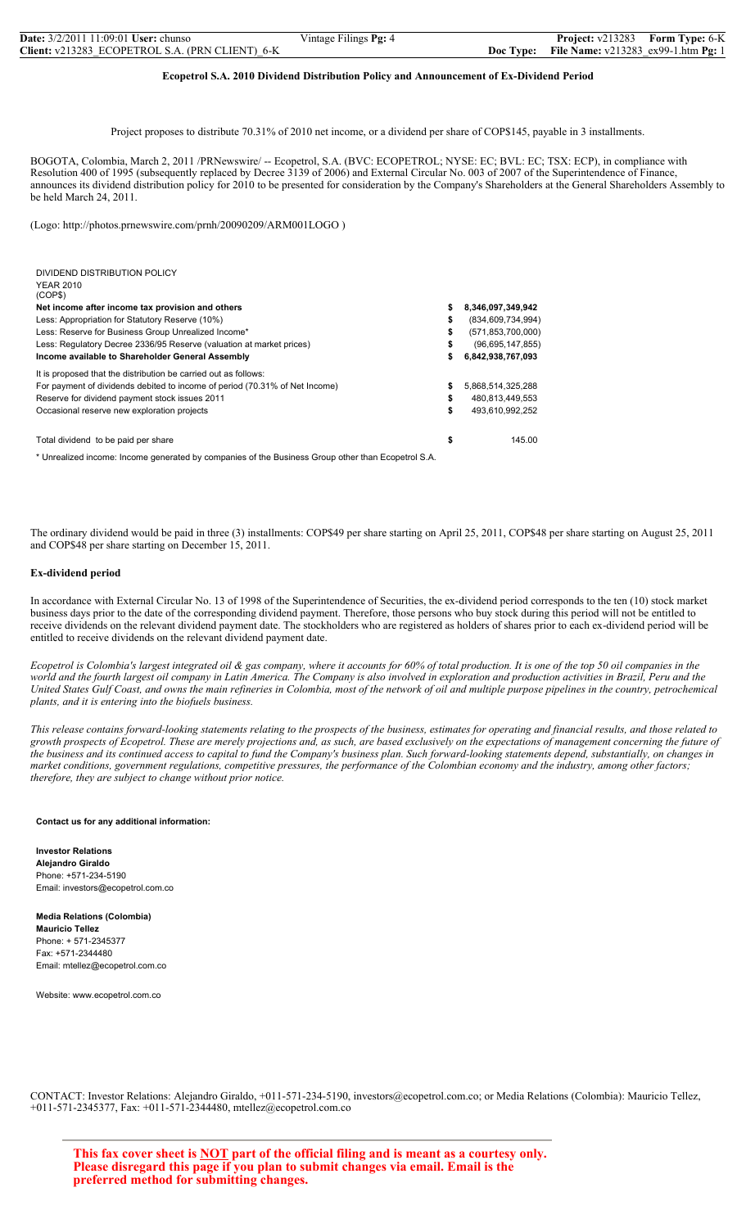| <b>Date:</b> $3/2/2011$ 11:09:01 <b>User:</b> chunso | Vintage Filings Pg: 4 |           | <b>Project:</b> v213283 Form Type: 6-K       |  |
|------------------------------------------------------|-----------------------|-----------|----------------------------------------------|--|
| Client: v213283 ECOPETROL S.A. (PRN CLIENT) 6-K      |                       | Doc Type: | <b>File Name:</b> $v213283$ ex99-1.htm Pg: 1 |  |

## **Ecopetrol S.A. 2010 Dividend Distribution Policy and Announcement of Ex-Dividend Period**

Project proposes to distribute 70.31% of 2010 net income, or a dividend per share of COP\$145, payable in 3 installments.

BOGOTA, Colombia, March 2, 2011 /PRNewswire/ -- Ecopetrol, S.A. (BVC: ECOPETROL; NYSE: EC; BVL: EC; TSX: ECP), in compliance with Resolution 400 of 1995 (subsequently replaced by Decree 3139 of 2006) and External Circular No. 003 of 2007 of the Superintendence of Finance, announces its dividend distribution policy for 2010 to be presented for consideration by the Company's Shareholders at the General Shareholders Assembly to be held March 24, 2011.

(Logo: http://photos.prnewswire.com/prnh/20090209/ARM001LOGO )

| DIVIDEND DISTRIBUTION POLICY<br><b>YEAR 2010</b><br>(COP\$)                 |    |                      |
|-----------------------------------------------------------------------------|----|----------------------|
| Net income after income tax provision and others                            | s  | 8,346,097,349,942    |
| Less: Appropriation for Statutory Reserve (10%)                             | S  | (834, 609, 734, 994) |
| Less: Reserve for Business Group Unrealized Income*                         | \$ | (571, 853, 700, 000) |
| Less: Regulatory Decree 2336/95 Reserve (valuation at market prices)        | S  | (96,695,147,855)     |
| Income available to Shareholder General Assembly                            | s  | 6,842,938,767,093    |
| It is proposed that the distribution be carried out as follows:             |    |                      |
| For payment of dividends debited to income of period (70.31% of Net Income) | S  | 5,868,514,325,288    |
| Reserve for dividend payment stock issues 2011                              | S  | 480.813.449.553      |
| Occasional reserve new exploration projects                                 | \$ | 493.610.992.252      |
| Total dividend to be paid per share                                         | \$ | 145.00               |

\* Unrealized income: Income generated by companies of the Business Group other than Ecopetrol S.A.

The ordinary dividend would be paid in three (3) installments: COP\$49 per share starting on April 25, 2011, COP\$48 per share starting on August 25, 2011 and COP\$48 per share starting on December 15, 2011.

### **Ex-dividend period**

In accordance with External Circular No. 13 of 1998 of the Superintendence of Securities, the ex-dividend period corresponds to the ten (10) stock market business days prior to the date of the corresponding dividend payment. Therefore, those persons who buy stock during this period will not be entitled to receive dividends on the relevant dividend payment date. The stockholders who are registered as holders of shares prior to each ex-dividend period will be entitled to receive dividends on the relevant dividend payment date.

*Ecopetrol is Colombia's largest integrated oil & gas company, where it accounts for 60% of total production. It is one of the top 50 oil companies in the world and the fourth largest oil company in Latin America. The Company is also involved in exploration and production activities in Brazil, Peru and the United States Gulf Coast, and owns the main refineries in Colombia, most of the network of oil and multiple purpose pipelines in the country, petrochemical plants, and it is entering into the biofuels business.*

*This release contains forward-looking statements relating to the prospects of the business, estimates for operating and financial results, and those related to growth prospects of Ecopetrol. These are merely projections and, as such, are based exclusively on the expectations of management concerning the future of the business and its continued access to capital to fund the Company's business plan. Such forward-looking statements depend, substantially, on changes in market conditions, government regulations, competitive pressures, the performance of the Colombian economy and the industry, among other factors; therefore, they are subject to change without prior notice.*

**Contact us for any additional information:**

**Investor Relations Alejandro Giraldo** Phone: +571-234-5190 Email: investors@ecopetrol.com.co

**Media Relations (Colombia) Mauricio Tellez** Phone: + 571-2345377 Fax: +571-2344480 Email: mtellez@ecopetrol.com.co

Website: www.ecopetrol.com.co

CONTACT: Investor Relations: Alejandro Giraldo, +011-571-234-5190, investors@ecopetrol.com.co; or Media Relations (Colombia): Mauricio Tellez, +011-571-2345377, Fax: +011-571-2344480, mtellez@ecopetrol.com.co